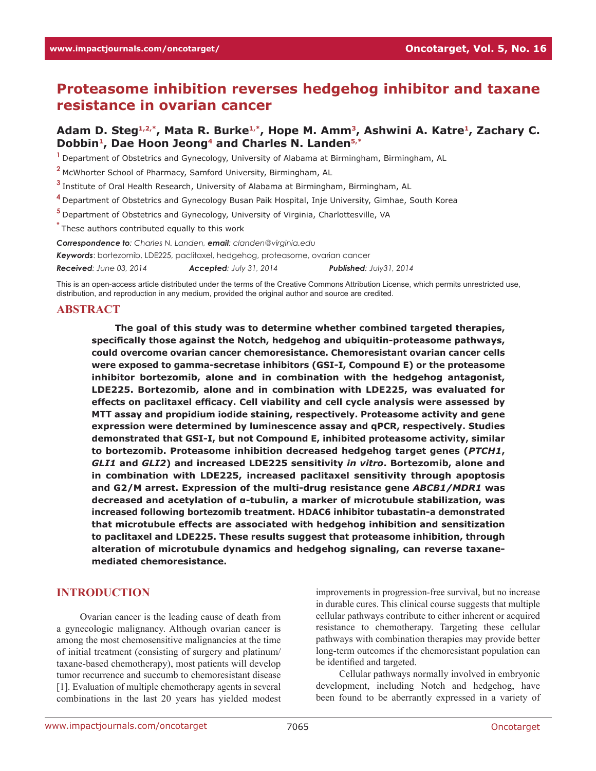# **Proteasome inhibition reverses hedgehog inhibitor and taxane resistance in ovarian cancer**

# Adam D. Steg<sup>1,2,\*</sup>, Mata R. Burke<sup>1,\*</sup>, Hope M. Amm<sup>3</sup>, Ashwini A. Katre<sup>1</sup>, Zachary C. **Dobbin1, Dae Hoon Jeong4 and Charles N. Landen5,\***

**<sup>1</sup>**Department of Obstetrics and Gynecology, University of Alabama at Birmingham, Birmingham, AL

**<sup>2</sup>**McWhorter School of Pharmacy, Samford University, Birmingham, AL

**<sup>3</sup>**Institute of Oral Health Research, University of Alabama at Birmingham, Birmingham, AL

**<sup>4</sup>**Department of Obstetrics and Gynecology Busan Paik Hospital, Inje University, Gimhae, South Korea

**<sup>5</sup>**Department of Obstetrics and Gynecology, University of Virginia, Charlottesville, VA

**\*** These authors contributed equally to this work

*Correspondence to: Charles N. Landen, email: clanden@virginia.edu*

*Keywords*: bortezomib, LDE225, paclitaxel, hedgehog, proteasome, ovarian cancer

*Received: June 03, 2014 Accepted: July 31, 2014 Published: July31, 2014*

This is an open-access article distributed under the terms of the Creative Commons Attribution License, which permits unrestricted use, distribution, and reproduction in any medium, provided the original author and source are credited.

#### **ABSTRACT**

**The goal of this study was to determine whether combined targeted therapies, specifically those against the Notch, hedgehog and ubiquitin-proteasome pathways, could overcome ovarian cancer chemoresistance. Chemoresistant ovarian cancer cells were exposed to gamma-secretase inhibitors (GSI-I, Compound E) or the proteasome inhibitor bortezomib, alone and in combination with the hedgehog antagonist, LDE225. Bortezomib, alone and in combination with LDE225, was evaluated for effects on paclitaxel efficacy. Cell viability and cell cycle analysis were assessed by MTT assay and propidium iodide staining, respectively. Proteasome activity and gene expression were determined by luminescence assay and qPCR, respectively. Studies demonstrated that GSI-I, but not Compound E, inhibited proteasome activity, similar to bortezomib. Proteasome inhibition decreased hedgehog target genes (***PTCH1***,**  *GLI1* **and** *GLI2***) and increased LDE225 sensitivity** *in vitro***. Bortezomib, alone and in combination with LDE225, increased paclitaxel sensitivity through apoptosis and G2/M arrest. Expression of the multi-drug resistance gene** *ABCB1/MDR1* **was decreased and acetylation of α-tubulin, a marker of microtubule stabilization, was increased following bortezomib treatment. HDAC6 inhibitor tubastatin-a demonstrated that microtubule effects are associated with hedgehog inhibition and sensitization to paclitaxel and LDE225. These results suggest that proteasome inhibition, through alteration of microtubule dynamics and hedgehog signaling, can reverse taxanemediated chemoresistance.**

### **INTRODUCTION**

Ovarian cancer is the leading cause of death from a gynecologic malignancy. Although ovarian cancer is among the most chemosensitive malignancies at the time of initial treatment (consisting of surgery and platinum/ taxane-based chemotherapy), most patients will develop tumor recurrence and succumb to chemoresistant disease [1]. Evaluation of multiple chemotherapy agents in several combinations in the last 20 years has yielded modest

improvements in progression-free survival, but no increase in durable cures. This clinical course suggests that multiple cellular pathways contribute to either inherent or acquired resistance to chemotherapy. Targeting these cellular pathways with combination therapies may provide better long-term outcomes if the chemoresistant population can be identified and targeted.

Cellular pathways normally involved in embryonic development, including Notch and hedgehog, have been found to be aberrantly expressed in a variety of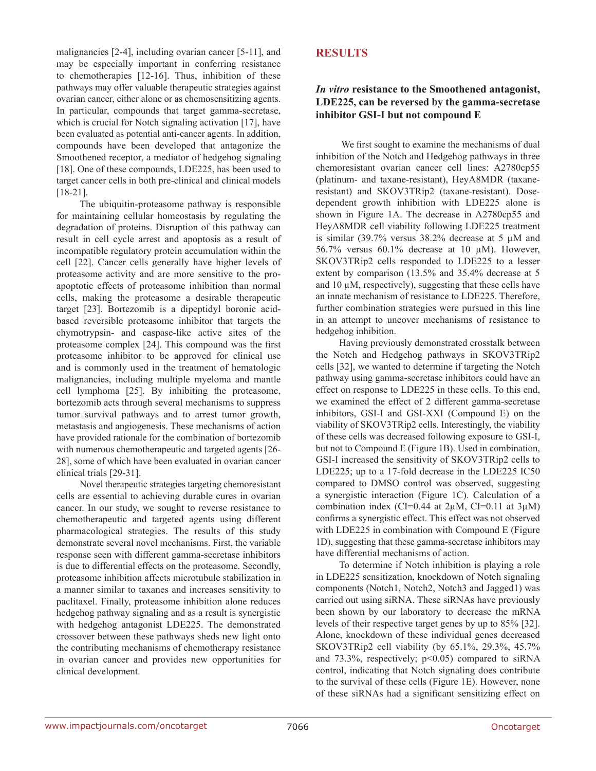malignancies [2-4], including ovarian cancer [5-11], and may be especially important in conferring resistance to chemotherapies [12-16]. Thus, inhibition of these pathways may offer valuable therapeutic strategies against ovarian cancer, either alone or as chemosensitizing agents. In particular, compounds that target gamma-secretase, which is crucial for Notch signaling activation [17], have been evaluated as potential anti-cancer agents. In addition, compounds have been developed that antagonize the Smoothened receptor, a mediator of hedgehog signaling [18]. One of these compounds, LDE225, has been used to target cancer cells in both pre-clinical and clinical models [18-21].

The ubiquitin-proteasome pathway is responsible for maintaining cellular homeostasis by regulating the degradation of proteins. Disruption of this pathway can result in cell cycle arrest and apoptosis as a result of incompatible regulatory protein accumulation within the cell [22]. Cancer cells generally have higher levels of proteasome activity and are more sensitive to the proapoptotic effects of proteasome inhibition than normal cells, making the proteasome a desirable therapeutic target [23]. Bortezomib is a dipeptidyl boronic acidbased reversible proteasome inhibitor that targets the chymotrypsin- and caspase-like active sites of the proteasome complex [24]. This compound was the first proteasome inhibitor to be approved for clinical use and is commonly used in the treatment of hematologic malignancies, including multiple myeloma and mantle cell lymphoma [25]. By inhibiting the proteasome, bortezomib acts through several mechanisms to suppress tumor survival pathways and to arrest tumor growth, metastasis and angiogenesis. These mechanisms of action have provided rationale for the combination of bortezomib with numerous chemotherapeutic and targeted agents [26- 28], some of which have been evaluated in ovarian cancer clinical trials [29-31].

Novel therapeutic strategies targeting chemoresistant cells are essential to achieving durable cures in ovarian cancer. In our study, we sought to reverse resistance to chemotherapeutic and targeted agents using different pharmacological strategies. The results of this study demonstrate several novel mechanisms. First, the variable response seen with different gamma-secretase inhibitors is due to differential effects on the proteasome. Secondly, proteasome inhibition affects microtubule stabilization in a manner similar to taxanes and increases sensitivity to paclitaxel. Finally, proteasome inhibition alone reduces hedgehog pathway signaling and as a result is synergistic with hedgehog antagonist LDE225. The demonstrated crossover between these pathways sheds new light onto the contributing mechanisms of chemotherapy resistance in ovarian cancer and provides new opportunities for clinical development.

# **RESULTS**

# *In vitro* **resistance to the Smoothened antagonist, LDE225, can be reversed by the gamma-secretase inhibitor GSI-I but not compound E**

 We first sought to examine the mechanisms of dual inhibition of the Notch and Hedgehog pathways in three chemoresistant ovarian cancer cell lines: A2780cp55 (platinum- and taxane-resistant), HeyA8MDR (taxaneresistant) and SKOV3TRip2 (taxane-resistant). Dosedependent growth inhibition with LDE225 alone is shown in Figure 1A. The decrease in A2780cp55 and HeyA8MDR cell viability following LDE225 treatment is similar (39.7% versus 38.2% decrease at 5 µM and 56.7% versus 60.1% decrease at 10 µM). However, SKOV3TRip2 cells responded to LDE225 to a lesser extent by comparison (13.5% and 35.4% decrease at 5 and 10  $\mu$ M, respectively), suggesting that these cells have an innate mechanism of resistance to LDE225. Therefore, further combination strategies were pursued in this line in an attempt to uncover mechanisms of resistance to hedgehog inhibition.

Having previously demonstrated crosstalk between the Notch and Hedgehog pathways in SKOV3TRip2 cells [32], we wanted to determine if targeting the Notch pathway using gamma-secretase inhibitors could have an effect on response to LDE225 in these cells. To this end, we examined the effect of 2 different gamma-secretase inhibitors, GSI-I and GSI-XXI (Compound E) on the viability of SKOV3TRip2 cells. Interestingly, the viability of these cells was decreased following exposure to GSI-I, but not to Compound E (Figure 1B). Used in combination, GSI-I increased the sensitivity of SKOV3TRip2 cells to LDE225; up to a 17-fold decrease in the LDE225 IC50 compared to DMSO control was observed, suggesting a synergistic interaction (Figure 1C). Calculation of a combination index (CI=0.44 at  $2\mu$ M, CI=0.11 at  $3\mu$ M) confirms a synergistic effect. This effect was not observed with LDE225 in combination with Compound E (Figure 1D), suggesting that these gamma-secretase inhibitors may have differential mechanisms of action.

To determine if Notch inhibition is playing a role in LDE225 sensitization, knockdown of Notch signaling components (Notch1, Notch2, Notch3 and Jagged1) was carried out using siRNA. These siRNAs have previously been shown by our laboratory to decrease the mRNA levels of their respective target genes by up to 85% [32]. Alone, knockdown of these individual genes decreased SKOV3TRip2 cell viability (by 65.1%, 29.3%, 45.7% and 73.3%, respectively;  $p<0.05$ ) compared to siRNA control, indicating that Notch signaling does contribute to the survival of these cells (Figure 1E). However, none of these siRNAs had a significant sensitizing effect on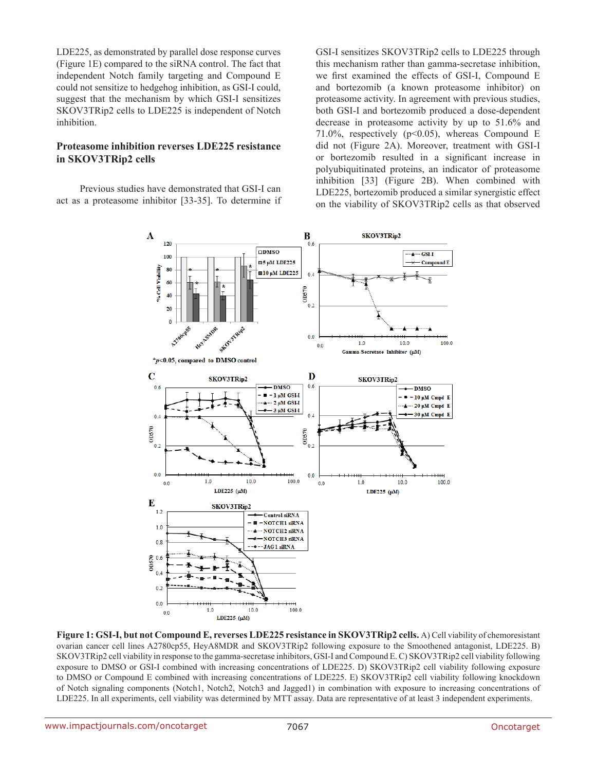LDE225, as demonstrated by parallel dose response curves (Figure 1E) compared to the siRNA control. The fact that independent Notch family targeting and Compound E could not sensitize to hedgehog inhibition, as GSI-I could, suggest that the mechanism by which GSI-I sensitizes SKOV3TRip2 cells to LDE225 is independent of Notch inhibition.

#### **Proteasome inhibition reverses LDE225 resistance in SKOV3TRip2 cells**

Previous studies have demonstrated that GSI-I can act as a proteasome inhibitor [33-35]. To determine if GSI-I sensitizes SKOV3TRip2 cells to LDE225 through this mechanism rather than gamma-secretase inhibition, we first examined the effects of GSI-I, Compound E and bortezomib (a known proteasome inhibitor) on proteasome activity. In agreement with previous studies, both GSI-I and bortezomib produced a dose-dependent decrease in proteasome activity by up to 51.6% and 71.0%, respectively ( $p$ <0.05), whereas Compound E did not (Figure 2A). Moreover, treatment with GSI-I or bortezomib resulted in a significant increase in polyubiquitinated proteins, an indicator of proteasome inhibition [33] (Figure 2B). When combined with LDE225, bortezomib produced a similar synergistic effect on the viability of SKOV3TRip2 cells as that observed



**Figure 1: GSI-I, but not Compound E, reverses LDE225 resistance in SKOV3TRip2 cells.** A) Cell viability of chemoresistant ovarian cancer cell lines A2780cp55, HeyA8MDR and SKOV3TRip2 following exposure to the Smoothened antagonist, LDE225. B) SKOV3TRip2 cell viability in response to the gamma-secretase inhibitors, GSI-I and Compound E. C) SKOV3TRip2 cell viability following exposure to DMSO or GSI-I combined with increasing concentrations of LDE225. D) SKOV3TRip2 cell viability following exposure to DMSO or Compound E combined with increasing concentrations of LDE225. E) SKOV3TRip2 cell viability following knockdown of Notch signaling components (Notch1, Notch2, Notch3 and Jagged1) in combination with exposure to increasing concentrations of LDE225. In all experiments, cell viability was determined by MTT assay. Data are representative of at least 3 independent experiments.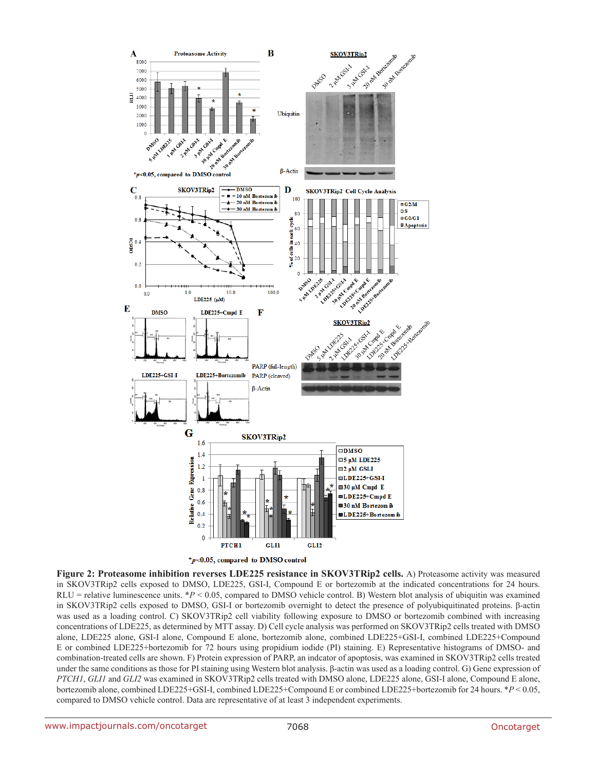

**Figure 2: Proteasome inhibition reverses LDE225 resistance in SKOV3TRip2 cells.** A) Proteasome activity was measured in SKOV3TRip2 cells exposed to DMSO, LDE225, GSI-I, Compound E or bortezomib at the indicated concentrations for 24 hours. RLU = relative luminescence units.  $*P < 0.05$ , compared to DMSO vehicle control. B) Western blot analysis of ubiquitin was examined in SKOV3TRip2 cells exposed to DMSO, GSI-I or bortezomib overnight to detect the presence of polyubiquitinated proteins. β-actin was used as a loading control. C) SKOV3TRip2 cell viability following exposure to DMSO or bortezomib combined with increasing concentrations of LDE225, as determined by MTT assay. D) Cell cycle analysis was performed on SKOV3TRip2 cells treated with DMSO alone, LDE225 alone, GSI-I alone, Compound E alone, bortezomib alone, combined LDE225+GSI-I, combined LDE225+Compound E or combined LDE225+bortezomib for 72 hours using propidium iodide (PI) staining. E) Representative histograms of DMSO- and combination-treated cells are shown. F) Protein expression of PARP, an indcator of apoptosis, was examined in SKOV3TRip2 cells treated under the same conditions as those for PI staining using Western blot analysis. β-actin was used as a loading control. G) Gene expression of *PTCH1*, *GLI1* and *GLI2* was examined in SKOV3TRip2 cells treated with DMSO alone, LDE225 alone, GSI-I alone, Compound E alone, bortezomib alone, combined LDE225+GSI-I, combined LDE225+Compound E or combined LDE225+bortezomib for 24 hours. \**P* < 0.05, compared to DMSO vehicle control. Data are representative of at least 3 independent experiments.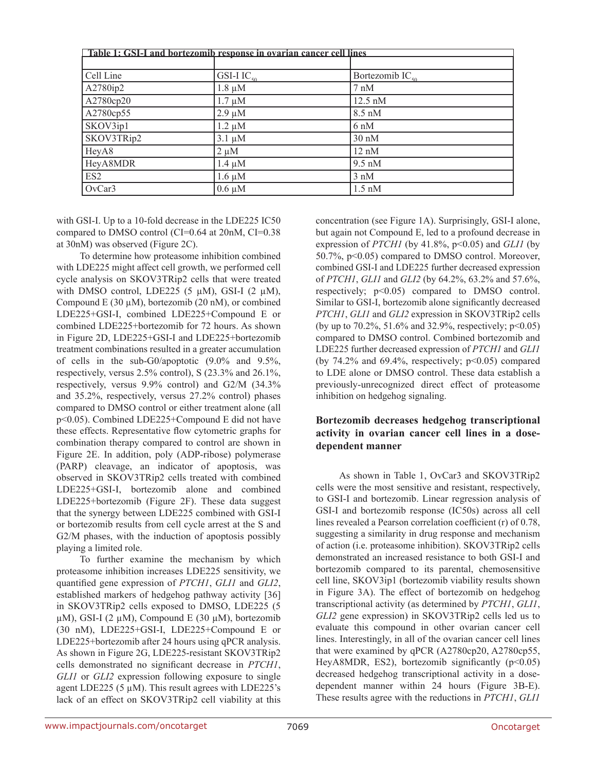| <b>Table 1: GSI-I and bortezomib response in ovarian cancer cell lines</b> |                        |                              |
|----------------------------------------------------------------------------|------------------------|------------------------------|
|                                                                            |                        |                              |
| Cell Line                                                                  | GSI-I IC <sub>50</sub> | Bortezomib $IC_{\epsilon_0}$ |
| A2780ip2                                                                   | $1.8 \mu M$            | $7~\mathrm{nM}$              |
| A2780cp20                                                                  | $1.7 \mu M$            | $12.5 \text{ nM}$            |
| A2780cp55                                                                  | $2.9 \mu M$            | 8.5 nM                       |
| SKOV3ip1                                                                   | $1.2 \mu M$            | $6 \text{ nM}$               |
| SKOV3TRip2                                                                 | $3.1 \mu M$            | 30 nM                        |
| HeyA8                                                                      | $2 \mu M$              | $12 \text{ nM}$              |
| HeyA8MDR                                                                   | $1.4 \mu M$            | 9.5 nM                       |
| ES <sub>2</sub>                                                            | $1.6 \mu M$            | $3 \text{ nM}$               |
| OvCar3                                                                     | $0.6 \mu M$            | $1.5 \text{ nM}$             |

with GSI-I. Up to a 10-fold decrease in the LDE225 IC50 compared to DMSO control (CI=0.64 at 20nM, CI=0.38 at 30nM) was observed (Figure 2C).

To determine how proteasome inhibition combined with LDE225 might affect cell growth, we performed cell cycle analysis on SKOV3TRip2 cells that were treated with DMSO control, LDE225 (5  $\mu$ M), GSI-I (2  $\mu$ M), Compound E (30  $\mu$ M), bortezomib (20 nM), or combined LDE225+GSI-I, combined LDE225+Compound E or combined LDE225+bortezomib for 72 hours. As shown in Figure 2D, LDE225+GSI-I and LDE225+bortezomib treatment combinations resulted in a greater accumulation of cells in the sub-G0/apoptotic (9.0% and 9.5%, respectively, versus 2.5% control), S (23.3% and 26.1%, respectively, versus 9.9% control) and G2/M (34.3% and 35.2%, respectively, versus 27.2% control) phases compared to DMSO control or either treatment alone (all p<0.05). Combined LDE225+Compound E did not have these effects. Representative flow cytometric graphs for combination therapy compared to control are shown in Figure 2E. In addition, poly (ADP-ribose) polymerase (PARP) cleavage, an indicator of apoptosis, was observed in SKOV3TRip2 cells treated with combined LDE225+GSI-I, bortezomib alone and combined LDE225+bortezomib (Figure 2F). These data suggest that the synergy between LDE225 combined with GSI-I or bortezomib results from cell cycle arrest at the S and G2/M phases, with the induction of apoptosis possibly playing a limited role.

To further examine the mechanism by which proteasome inhibition increases LDE225 sensitivity, we quantified gene expression of *PTCH1*, *GLI1* and *GLI2*, established markers of hedgehog pathway activity [36] in SKOV3TRip2 cells exposed to DMSO, LDE225 (5  $\mu$ M), GSI-I (2  $\mu$ M), Compound E (30  $\mu$ M), bortezomib (30 nM), LDE225+GSI-I, LDE225+Compound E or LDE225+bortezomib after 24 hours using qPCR analysis. As shown in Figure 2G, LDE225-resistant SKOV3TRip2 cells demonstrated no significant decrease in *PTCH1*, *GLI1* or *GLI2* expression following exposure to single agent LDE225 (5 µM). This result agrees with LDE225's lack of an effect on SKOV3TRip2 cell viability at this concentration (see Figure 1A). Surprisingly, GSI-I alone, but again not Compound E, led to a profound decrease in expression of *PTCH1* (by 41.8%, p<0.05) and *GLI1* (by 50.7%, p<0.05) compared to DMSO control. Moreover, combined GSI-I and LDE225 further decreased expression of *PTCH1*, *GLI1* and *GLI2* (by 64.2%, 63.2% and 57.6%, respectively; p<0.05) compared to DMSO control. Similar to GSI-I, bortezomib alone significantly decreased *PTCH1*, *GLI1* and *GLI2* expression in SKOV3TRip2 cells (by up to 70.2%, 51.6% and 32.9%, respectively; p<0.05) compared to DMSO control. Combined bortezomib and LDE225 further decreased expression of *PTCH1* and *GLI1* (by  $74.2\%$  and  $69.4\%$ , respectively;  $p<0.05$ ) compared to LDE alone or DMSO control. These data establish a previously-unrecognized direct effect of proteasome inhibition on hedgehog signaling.

# **Bortezomib decreases hedgehog transcriptional activity in ovarian cancer cell lines in a dosedependent manner**

As shown in Table 1, OvCar3 and SKOV3TRip2 cells were the most sensitive and resistant, respectively, to GSI-I and bortezomib. Linear regression analysis of GSI-I and bortezomib response (IC50s) across all cell lines revealed a Pearson correlation coefficient (r) of 0.78, suggesting a similarity in drug response and mechanism of action (i.e. proteasome inhibition). SKOV3TRip2 cells demonstrated an increased resistance to both GSI-I and bortezomib compared to its parental, chemosensitive cell line, SKOV3ip1 (bortezomib viability results shown in Figure 3A). The effect of bortezomib on hedgehog transcriptional activity (as determined by *PTCH1*, *GLI1*, *GLI2* gene expression) in SKOV3TRip2 cells led us to evaluate this compound in other ovarian cancer cell lines. Interestingly, in all of the ovarian cancer cell lines that were examined by qPCR (A2780cp20, A2780cp55, HeyA8MDR, ES2), bortezomib significantly  $(p<0.05)$ decreased hedgehog transcriptional activity in a dosedependent manner within 24 hours (Figure 3B-E). These results agree with the reductions in *PTCH1*, *GLI1*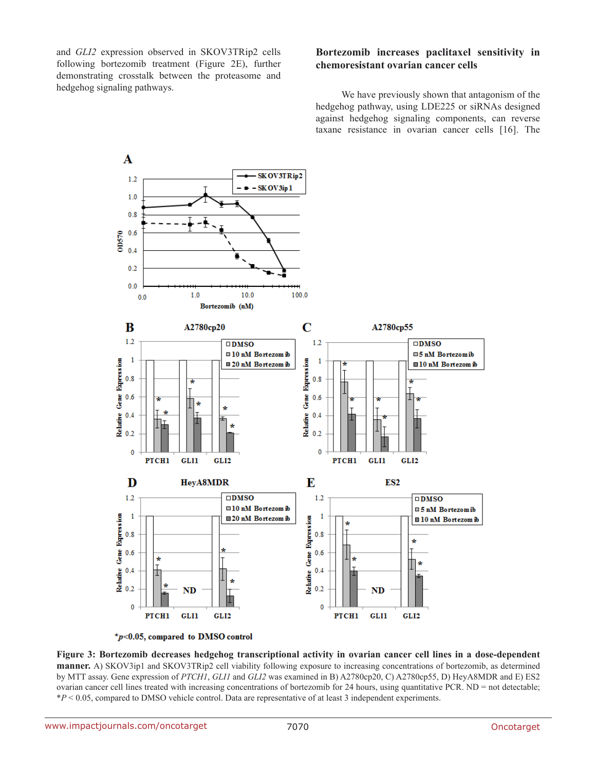and *GLI2* expression observed in SKOV3TRip2 cells following bortezomib treatment (Figure 2E), further demonstrating crosstalk between the proteasome and hedgehog signaling pathways.

### **Bortezomib increases paclitaxel sensitivity in chemoresistant ovarian cancer cells**

 We have previously shown that antagonism of the hedgehog pathway, using LDE225 or siRNAs designed against hedgehog signaling components, can reverse taxane resistance in ovarian cancer cells [16]. The





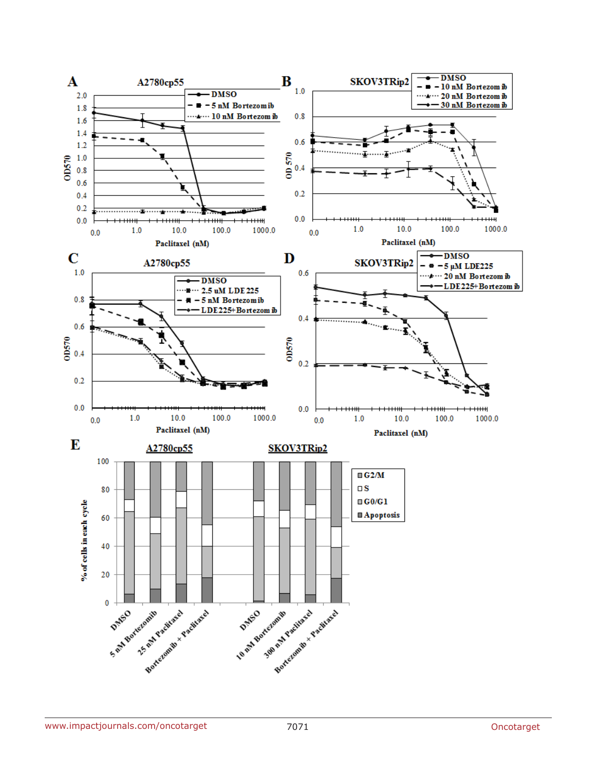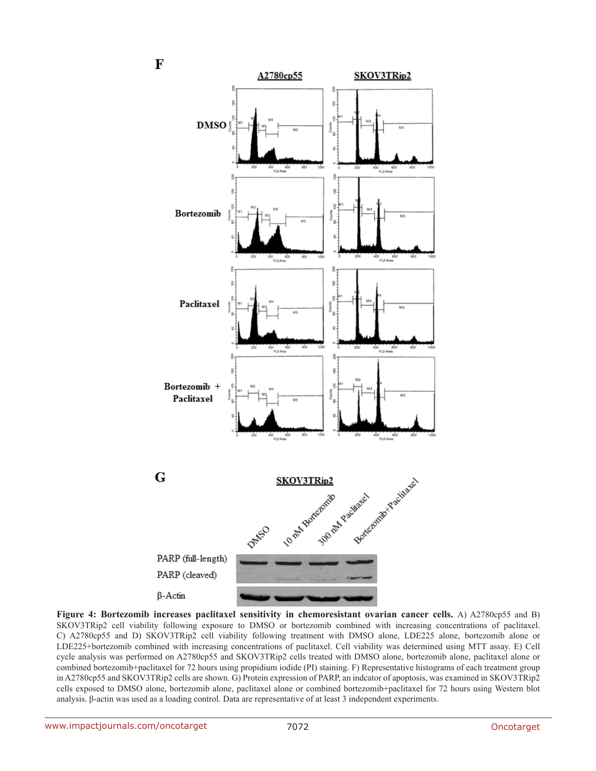

**Figure 4: Bortezomib increases paclitaxel sensitivity in chemoresistant ovarian cancer cells.** A) A2780cp55 and B) SKOV3TRip2 cell viability following exposure to DMSO or bortezomib combined with increasing concentrations of paclitaxel. C) A2780cp55 and D) SKOV3TRip2 cell viability following treatment with DMSO alone, LDE225 alone, bortezomib alone or LDE225+bortezomib combined with increasing concentrations of paclitaxel. Cell viability was determined using MTT assay. E) Cell cycle analysis was performed on A2780cp55 and SKOV3TRip2 cells treated with DMSO alone, bortezomib alone, paclitaxel alone or combined bortezomib+paclitaxel for 72 hours using propidium iodide (PI) staining. F) Representative histograms of each treatment group in A2780cp55 and SKOV3TRip2 cells are shown. G) Protein expression of PARP, an indcator of apoptosis, was examined in SKOV3TRip2 cells exposed to DMSO alone, bortezomib alone, paclitaxel alone or combined bortezomib+paclitaxel for 72 hours using Western blot analysis. β-actin was used as a loading control. Data are representative of at least 3 independent experiments.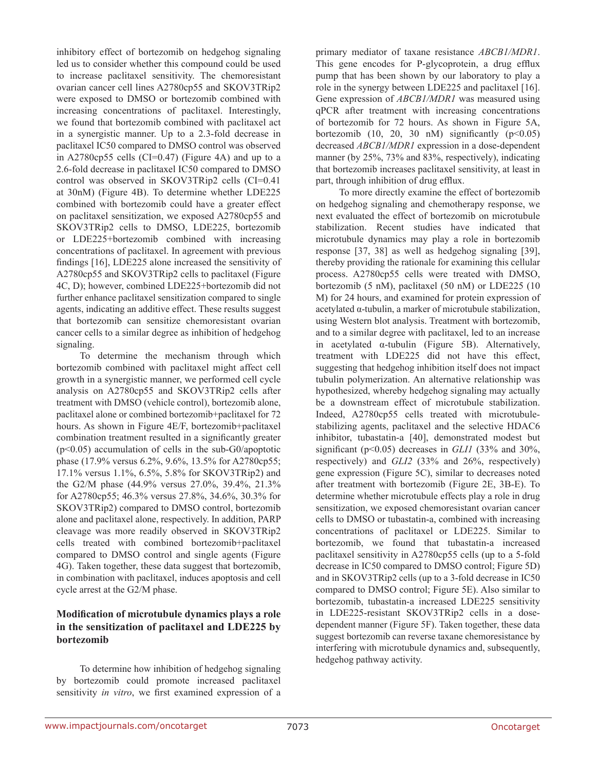inhibitory effect of bortezomib on hedgehog signaling led us to consider whether this compound could be used to increase paclitaxel sensitivity. The chemoresistant ovarian cancer cell lines A2780cp55 and SKOV3TRip2 were exposed to DMSO or bortezomib combined with increasing concentrations of paclitaxel. Interestingly, we found that bortezomib combined with paclitaxel act in a synergistic manner. Up to a 2.3-fold decrease in paclitaxel IC50 compared to DMSO control was observed in A2780cp55 cells (CI=0.47) (Figure 4A) and up to a 2.6-fold decrease in paclitaxel IC50 compared to DMSO control was observed in SKOV3TRip2 cells (CI=0.41 at 30nM) (Figure 4B). To determine whether LDE225 combined with bortezomib could have a greater effect on paclitaxel sensitization, we exposed A2780cp55 and SKOV3TRip2 cells to DMSO, LDE225, bortezomib or LDE225+bortezomib combined with increasing concentrations of paclitaxel. In agreement with previous findings [16], LDE225 alone increased the sensitivity of A2780cp55 and SKOV3TRip2 cells to paclitaxel (Figure 4C, D); however, combined LDE225+bortezomib did not further enhance paclitaxel sensitization compared to single agents, indicating an additive effect. These results suggest that bortezomib can sensitize chemoresistant ovarian cancer cells to a similar degree as inhibition of hedgehog signaling.

To determine the mechanism through which bortezomib combined with paclitaxel might affect cell growth in a synergistic manner, we performed cell cycle analysis on A2780cp55 and SKOV3TRip2 cells after treatment with DMSO (vehicle control), bortezomib alone, paclitaxel alone or combined bortezomib+paclitaxel for 72 hours. As shown in Figure 4E/F, bortezomib+paclitaxel combination treatment resulted in a significantly greater (p<0.05) accumulation of cells in the sub-G0/apoptotic phase (17.9% versus 6.2%, 9.6%, 13.5% for A2780cp55; 17.1% versus 1.1%, 6.5%, 5.8% for SKOV3TRip2) and the G2/M phase (44.9% versus 27.0%, 39.4%, 21.3% for A2780cp55; 46.3% versus 27.8%, 34.6%, 30.3% for SKOV3TRip2) compared to DMSO control, bortezomib alone and paclitaxel alone, respectively. In addition, PARP cleavage was more readily observed in SKOV3TRip2 cells treated with combined bortezomib+paclitaxel compared to DMSO control and single agents (Figure 4G). Taken together, these data suggest that bortezomib, in combination with paclitaxel, induces apoptosis and cell cycle arrest at the G2/M phase.

# **Modification of microtubule dynamics plays a role in the sensitization of paclitaxel and LDE225 by bortezomib**

To determine how inhibition of hedgehog signaling by bortezomib could promote increased paclitaxel sensitivity *in vitro*, we first examined expression of a primary mediator of taxane resistance *ABCB1/MDR1*. This gene encodes for P-glycoprotein, a drug efflux pump that has been shown by our laboratory to play a role in the synergy between LDE225 and paclitaxel [16]. Gene expression of *ABCB1/MDR1* was measured using qPCR after treatment with increasing concentrations of bortezomib for 72 hours. As shown in Figure 5A, bortezomib  $(10, 20, 30 \text{ nM})$  significantly  $(p<0.05)$ decreased *ABCB1/MDR1* expression in a dose-dependent manner (by 25%, 73% and 83%, respectively), indicating that bortezomib increases paclitaxel sensitivity, at least in part, through inhibition of drug efflux.

To more directly examine the effect of bortezomib on hedgehog signaling and chemotherapy response, we next evaluated the effect of bortezomib on microtubule stabilization. Recent studies have indicated that microtubule dynamics may play a role in bortezomib response [37, 38] as well as hedgehog signaling [39], thereby providing the rationale for examining this cellular process. A2780cp55 cells were treated with DMSO, bortezomib (5 nM), paclitaxel (50 nM) or LDE225 (10 M) for 24 hours, and examined for protein expression of acetylated α-tubulin, a marker of microtubule stabilization, using Western blot analysis. Treatment with bortezomib, and to a similar degree with paclitaxel, led to an increase in acetylated  $\alpha$ -tubulin (Figure 5B). Alternatively, treatment with LDE225 did not have this effect, suggesting that hedgehog inhibition itself does not impact tubulin polymerization. An alternative relationship was hypothesized, whereby hedgehog signaling may actually be a downstream effect of microtubule stabilization. Indeed, A2780cp55 cells treated with microtubulestabilizing agents, paclitaxel and the selective HDAC6 inhibitor, tubastatin-a [40], demonstrated modest but significant (p<0.05) decreases in *GLI1* (33% and 30%, respectively) and *GLI2* (33% and 26%, respectively) gene expression (Figure 5C), similar to decreases noted after treatment with bortezomib (Figure 2E, 3B-E). To determine whether microtubule effects play a role in drug sensitization, we exposed chemoresistant ovarian cancer cells to DMSO or tubastatin-a, combined with increasing concentrations of paclitaxel or LDE225. Similar to bortezomib, we found that tubastatin-a increased paclitaxel sensitivity in A2780cp55 cells (up to a 5-fold decrease in IC50 compared to DMSO control; Figure 5D) and in SKOV3TRip2 cells (up to a 3-fold decrease in IC50 compared to DMSO control; Figure 5E). Also similar to bortezomib, tubastatin-a increased LDE225 sensitivity in LDE225-resistant SKOV3TRip2 cells in a dosedependent manner (Figure 5F). Taken together, these data suggest bortezomib can reverse taxane chemoresistance by interfering with microtubule dynamics and, subsequently, hedgehog pathway activity.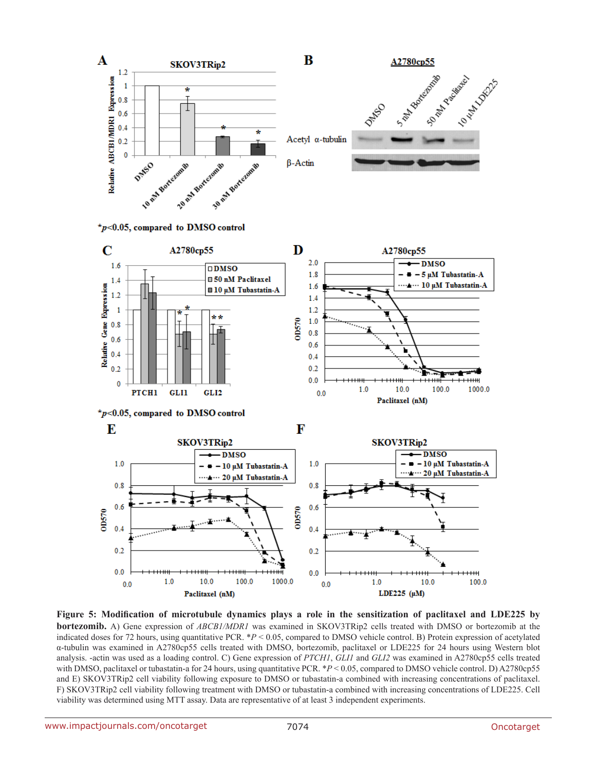





**Figure 5: Modification of microtubule dynamics plays a role in the sensitization of paclitaxel and LDE225 by bortezomib.** A) Gene expression of *ABCB1/MDR1* was examined in SKOV3TRip2 cells treated with DMSO or bortezomib at the indicated doses for 72 hours, using quantitative PCR. \**P* < 0.05, compared to DMSO vehicle control. B) Protein expression of acetylated α-tubulin was examined in A2780cp55 cells treated with DMSO, bortezomib, paclitaxel or LDE225 for 24 hours using Western blot analysis. -actin was used as a loading control. C) Gene expression of *PTCH1*, *GLI1* and *GLI2* was examined in A2780cp55 cells treated with DMSO, paclitaxel or tubastatin-a for 24 hours, using quantitative PCR. \**P* < 0.05, compared to DMSO vehicle control. D) A2780cp55 and E) SKOV3TRip2 cell viability following exposure to DMSO or tubastatin-a combined with increasing concentrations of paclitaxel. F) SKOV3TRip2 cell viability following treatment with DMSO or tubastatin-a combined with increasing concentrations of LDE225. Cell viability was determined using MTT assay. Data are representative of at least 3 independent experiments.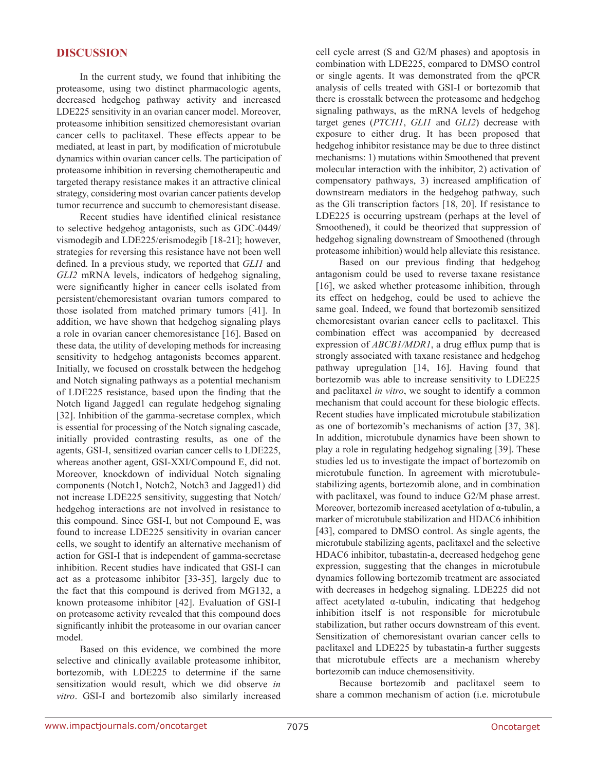### **DISCUSSION**

In the current study, we found that inhibiting the proteasome, using two distinct pharmacologic agents, decreased hedgehog pathway activity and increased LDE225 sensitivity in an ovarian cancer model. Moreover, proteasome inhibition sensitized chemoresistant ovarian cancer cells to paclitaxel. These effects appear to be mediated, at least in part, by modification of microtubule dynamics within ovarian cancer cells. The participation of proteasome inhibition in reversing chemotherapeutic and targeted therapy resistance makes it an attractive clinical strategy, considering most ovarian cancer patients develop tumor recurrence and succumb to chemoresistant disease.

Recent studies have identified clinical resistance to selective hedgehog antagonists, such as GDC-0449/ vismodegib and LDE225/erismodegib [18-21]; however, strategies for reversing this resistance have not been well defined. In a previous study, we reported that *GLI1* and *GLI2* mRNA levels, indicators of hedgehog signaling, were significantly higher in cancer cells isolated from persistent/chemoresistant ovarian tumors compared to those isolated from matched primary tumors [41]. In addition, we have shown that hedgehog signaling plays a role in ovarian cancer chemoresistance [16]. Based on these data, the utility of developing methods for increasing sensitivity to hedgehog antagonists becomes apparent. Initially, we focused on crosstalk between the hedgehog and Notch signaling pathways as a potential mechanism of LDE225 resistance, based upon the finding that the Notch ligand Jagged1 can regulate hedgehog signaling [32]. Inhibition of the gamma-secretase complex, which is essential for processing of the Notch signaling cascade, initially provided contrasting results, as one of the agents, GSI-I, sensitized ovarian cancer cells to LDE225, whereas another agent, GSI-XXI/Compound E, did not. Moreover, knockdown of individual Notch signaling components (Notch1, Notch2, Notch3 and Jagged1) did not increase LDE225 sensitivity, suggesting that Notch/ hedgehog interactions are not involved in resistance to this compound. Since GSI-I, but not Compound E, was found to increase LDE225 sensitivity in ovarian cancer cells, we sought to identify an alternative mechanism of action for GSI-I that is independent of gamma-secretase inhibition. Recent studies have indicated that GSI-I can act as a proteasome inhibitor [33-35], largely due to the fact that this compound is derived from MG132, a known proteasome inhibitor [42]. Evaluation of GSI-I on proteasome activity revealed that this compound does significantly inhibit the proteasome in our ovarian cancer model.

Based on this evidence, we combined the more selective and clinically available proteasome inhibitor, bortezomib, with LDE225 to determine if the same sensitization would result, which we did observe *in vitro*. GSI-I and bortezomib also similarly increased cell cycle arrest (S and G2/M phases) and apoptosis in combination with LDE225, compared to DMSO control or single agents. It was demonstrated from the qPCR analysis of cells treated with GSI-I or bortezomib that there is crosstalk between the proteasome and hedgehog signaling pathways, as the mRNA levels of hedgehog target genes (*PTCH1*, *GLI1* and *GLI2*) decrease with exposure to either drug. It has been proposed that hedgehog inhibitor resistance may be due to three distinct mechanisms: 1) mutations within Smoothened that prevent molecular interaction with the inhibitor, 2) activation of compensatory pathways, 3) increased amplification of downstream mediators in the hedgehog pathway, such as the Gli transcription factors [18, 20]. If resistance to LDE225 is occurring upstream (perhaps at the level of Smoothened), it could be theorized that suppression of hedgehog signaling downstream of Smoothened (through proteasome inhibition) would help alleviate this resistance.

Based on our previous finding that hedgehog antagonism could be used to reverse taxane resistance [16], we asked whether proteasome inhibition, through its effect on hedgehog, could be used to achieve the same goal. Indeed, we found that bortezomib sensitized chemoresistant ovarian cancer cells to paclitaxel. This combination effect was accompanied by decreased expression of *ABCB1/MDR1*, a drug efflux pump that is strongly associated with taxane resistance and hedgehog pathway upregulation [14, 16]. Having found that bortezomib was able to increase sensitivity to LDE225 and paclitaxel *in vitro*, we sought to identify a common mechanism that could account for these biologic effects. Recent studies have implicated microtubule stabilization as one of bortezomib's mechanisms of action [37, 38]. In addition, microtubule dynamics have been shown to play a role in regulating hedgehog signaling [39]. These studies led us to investigate the impact of bortezomib on microtubule function. In agreement with microtubulestabilizing agents, bortezomib alone, and in combination with paclitaxel, was found to induce G2/M phase arrest. Moreover, bortezomib increased acetylation of α-tubulin, a marker of microtubule stabilization and HDAC6 inhibition [43], compared to DMSO control. As single agents, the microtubule stabilizing agents, paclitaxel and the selective HDAC6 inhibitor, tubastatin-a, decreased hedgehog gene expression, suggesting that the changes in microtubule dynamics following bortezomib treatment are associated with decreases in hedgehog signaling. LDE225 did not affect acetylated α-tubulin, indicating that hedgehog inhibition itself is not responsible for microtubule stabilization, but rather occurs downstream of this event. Sensitization of chemoresistant ovarian cancer cells to paclitaxel and LDE225 by tubastatin-a further suggests that microtubule effects are a mechanism whereby bortezomib can induce chemosensitivity.

Because bortezomib and paclitaxel seem to share a common mechanism of action (i.e. microtubule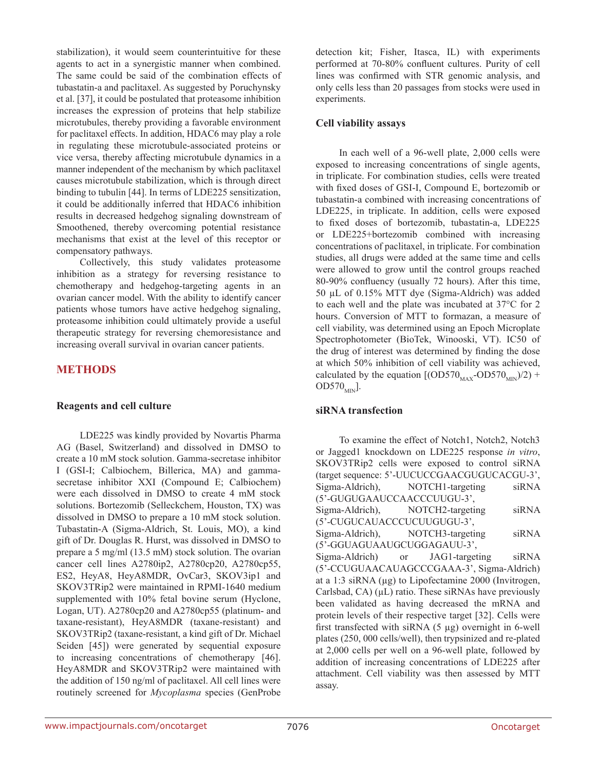stabilization), it would seem counterintuitive for these agents to act in a synergistic manner when combined. The same could be said of the combination effects of tubastatin-a and paclitaxel. As suggested by Poruchynsky et al. [37], it could be postulated that proteasome inhibition increases the expression of proteins that help stabilize microtubules, thereby providing a favorable environment for paclitaxel effects. In addition, HDAC6 may play a role in regulating these microtubule-associated proteins or vice versa, thereby affecting microtubule dynamics in a manner independent of the mechanism by which paclitaxel causes microtubule stabilization, which is through direct binding to tubulin [44]. In terms of LDE225 sensitization, it could be additionally inferred that HDAC6 inhibition results in decreased hedgehog signaling downstream of Smoothened, thereby overcoming potential resistance mechanisms that exist at the level of this receptor or compensatory pathways.

Collectively, this study validates proteasome inhibition as a strategy for reversing resistance to chemotherapy and hedgehog-targeting agents in an ovarian cancer model. With the ability to identify cancer patients whose tumors have active hedgehog signaling, proteasome inhibition could ultimately provide a useful therapeutic strategy for reversing chemoresistance and increasing overall survival in ovarian cancer patients.

# **METHODS**

#### **Reagents and cell culture**

LDE225 was kindly provided by Novartis Pharma AG (Basel, Switzerland) and dissolved in DMSO to create a 10 mM stock solution. Gamma-secretase inhibitor I (GSI-I; Calbiochem, Billerica, MA) and gammasecretase inhibitor XXI (Compound E; Calbiochem) were each dissolved in DMSO to create 4 mM stock solutions. Bortezomib (Selleckchem, Houston, TX) was dissolved in DMSO to prepare a 10 mM stock solution. Tubastatin-A (Sigma-Aldrich, St. Louis, MO), a kind gift of Dr. Douglas R. Hurst, was dissolved in DMSO to prepare a 5 mg/ml (13.5 mM) stock solution. The ovarian cancer cell lines A2780ip2, A2780cp20, A2780cp55, ES2, HeyA8, HeyA8MDR, OvCar3, SKOV3ip1 and SKOV3TRip2 were maintained in RPMI-1640 medium supplemented with 10% fetal bovine serum (Hyclone, Logan, UT). A2780cp20 and A2780cp55 (platinum- and taxane-resistant), HeyA8MDR (taxane-resistant) and SKOV3TRip2 (taxane-resistant, a kind gift of Dr. Michael Seiden [45]) were generated by sequential exposure to increasing concentrations of chemotherapy [46]. HeyA8MDR and SKOV3TRip2 were maintained with the addition of 150 ng/ml of paclitaxel. All cell lines were routinely screened for *Mycoplasma* species (GenProbe detection kit; Fisher, Itasca, IL) with experiments performed at 70-80% confluent cultures. Purity of cell lines was confirmed with STR genomic analysis, and only cells less than 20 passages from stocks were used in experiments.

### **Cell viability assays**

In each well of a 96-well plate, 2,000 cells were exposed to increasing concentrations of single agents, in triplicate. For combination studies, cells were treated with fixed doses of GSI-I, Compound E, bortezomib or tubastatin-a combined with increasing concentrations of LDE225, in triplicate. In addition, cells were exposed to fixed doses of bortezomib, tubastatin-a, LDE225 or LDE225+bortezomib combined with increasing concentrations of paclitaxel, in triplicate. For combination studies, all drugs were added at the same time and cells were allowed to grow until the control groups reached 80-90% confluency (usually 72 hours). After this time, 50 µL of 0.15% MTT dye (Sigma-Aldrich) was added to each well and the plate was incubated at 37°C for 2 hours. Conversion of MTT to formazan, a measure of cell viability, was determined using an Epoch Microplate Spectrophotometer (BioTek, Winooski, VT). IC50 of the drug of interest was determined by finding the dose at which 50% inhibition of cell viability was achieved, calculated by the equation  $[(OD570<sub>MAX</sub>-OD570<sub>MIN</sub>)/2)$  +  $OD570<sub>MIN</sub>$ ].

#### **siRNA transfection**

To examine the effect of Notch1, Notch2, Notch3 or Jagged1 knockdown on LDE225 response *in vitro*, SKOV3TRip2 cells were exposed to control siRNA (target sequence: 5'-UUCUCCGAACGUGUCACGU-3', Sigma-Aldrich), NOTCH1-targeting siRNA (5'-GUGUGAAUCCAACCCUUGU-3', Sigma-Aldrich), NOTCH2-targeting siRNA (5'-CUGUCAUACCCUCUUGUGU-3', Sigma-Aldrich), NOTCH3-targeting siRNA (5'-GGUAGUAAUGCUGGAGAUU-3', Sigma-Aldrich) or JAG1-targeting siRNA (5'-CCUGUAACAUAGCCCGAAA-3', Sigma-Aldrich) at a 1:3 siRNA (µg) to Lipofectamine 2000 (Invitrogen, Carlsbad,  $CA$ ) ( $\mu L$ ) ratio. These siRNAs have previously been validated as having decreased the mRNA and protein levels of their respective target [32]. Cells were first transfected with siRNA (5 µg) overnight in 6-well plates (250, 000 cells/well), then trypsinized and re-plated at 2,000 cells per well on a 96-well plate, followed by addition of increasing concentrations of LDE225 after attachment. Cell viability was then assessed by MTT assay.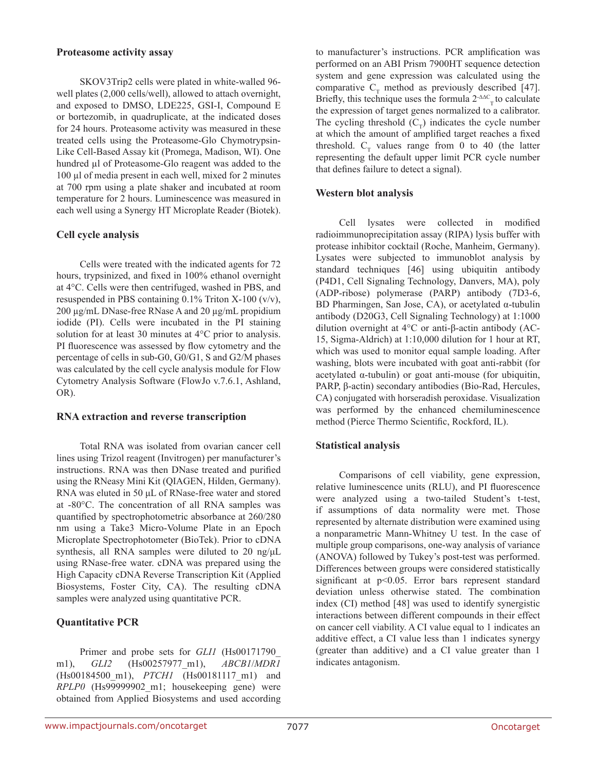#### **Proteasome activity assay**

SKOV3Trip2 cells were plated in white-walled 96 well plates (2,000 cells/well), allowed to attach overnight, and exposed to DMSO, LDE225, GSI-I, Compound E or bortezomib, in quadruplicate, at the indicated doses for 24 hours. Proteasome activity was measured in these treated cells using the Proteasome-Glo Chymotrypsin-Like Cell-Based Assay kit (Promega, Madison, WI). One hundred µl of Proteasome-Glo reagent was added to the 100 µl of media present in each well, mixed for 2 minutes at 700 rpm using a plate shaker and incubated at room temperature for 2 hours. Luminescence was measured in each well using a Synergy HT Microplate Reader (Biotek).

### **Cell cycle analysis**

Cells were treated with the indicated agents for 72 hours, trypsinized, and fixed in 100% ethanol overnight at 4°C. Cells were then centrifuged, washed in PBS, and resuspended in PBS containing 0.1% Triton X-100 (v/v), 200 µg/mL DNase-free RNase A and 20 µg/mL propidium iodide (PI). Cells were incubated in the PI staining solution for at least 30 minutes at 4<sup>o</sup>C prior to analysis. PI fluorescence was assessed by flow cytometry and the percentage of cells in sub-G0, G0/G1, S and G2/M phases was calculated by the cell cycle analysis module for Flow Cytometry Analysis Software (FlowJo v.7.6.1, Ashland, OR).

### **RNA extraction and reverse transcription**

Total RNA was isolated from ovarian cancer cell lines using Trizol reagent (Invitrogen) per manufacturer's instructions. RNA was then DNase treated and purified using the RNeasy Mini Kit (QIAGEN, Hilden, Germany). RNA was eluted in 50 μL of RNase-free water and stored at -80°C. The concentration of all RNA samples was quantified by spectrophotometric absorbance at 260/280 nm using a Take3 Micro-Volume Plate in an Epoch Microplate Spectrophotometer (BioTek). Prior to cDNA synthesis, all RNA samples were diluted to 20 ng/μL using RNase-free water. cDNA was prepared using the High Capacity cDNA Reverse Transcription Kit (Applied Biosystems, Foster City, CA). The resulting cDNA samples were analyzed using quantitative PCR.

# **Quantitative PCR**

Primer and probe sets for *GLI1* (Hs00171790\_ m1), *GLI2* (Hs00257977\_m1), *ABCB1*/*MDR1* (Hs00184500\_m1), *PTCH1* (Hs00181117\_m1) and *RPLP0* (Hs99999902\_m1; housekeeping gene) were obtained from Applied Biosystems and used according to manufacturer's instructions. PCR amplification was performed on an ABI Prism 7900HT sequence detection system and gene expression was calculated using the comparative  $C_T$  method as previously described [47]. Briefly, this technique uses the formula  $2^{-AAC}$ <sub>T</sub> to calculate the expression of target genes normalized to a calibrator. The cycling threshold  $(C_T)$  indicates the cycle number at which the amount of amplified target reaches a fixed threshold.  $C<sub>T</sub>$  values range from 0 to 40 (the latter representing the default upper limit PCR cycle number that defines failure to detect a signal).

# **Western blot analysis**

Cell lysates were collected in modified radioimmunoprecipitation assay (RIPA) lysis buffer with protease inhibitor cocktail (Roche, Manheim, Germany). Lysates were subjected to immunoblot analysis by standard techniques [46] using ubiquitin antibody (P4D1, Cell Signaling Technology, Danvers, MA), poly (ADP-ribose) polymerase (PARP) antibody (7D3-6, BD Pharmingen, San Jose, CA), or acetylated α-tubulin antibody (D20G3, Cell Signaling Technology) at 1:1000 dilution overnight at 4°C or anti-β-actin antibody (AC-15, Sigma-Aldrich) at 1:10,000 dilution for 1 hour at RT, which was used to monitor equal sample loading. After washing, blots were incubated with goat anti-rabbit (for acetylated α-tubulin) or goat anti-mouse (for ubiquitin, PARP, β-actin) secondary antibodies (Bio-Rad, Hercules, CA) conjugated with horseradish peroxidase. Visualization was performed by the enhanced chemiluminescence method (Pierce Thermo Scientific, Rockford, IL).

# **Statistical analysis**

Comparisons of cell viability, gene expression, relative luminescence units (RLU), and PI fluorescence were analyzed using a two-tailed Student's t-test, if assumptions of data normality were met. Those represented by alternate distribution were examined using a nonparametric Mann-Whitney U test. In the case of multiple group comparisons, one-way analysis of variance (ANOVA) followed by Tukey's post-test was performed. Differences between groups were considered statistically significant at p<0.05. Error bars represent standard deviation unless otherwise stated. The combination index (CI) method [48] was used to identify synergistic interactions between different compounds in their effect on cancer cell viability. A CI value equal to 1 indicates an additive effect, a CI value less than 1 indicates synergy (greater than additive) and a CI value greater than 1 indicates antagonism.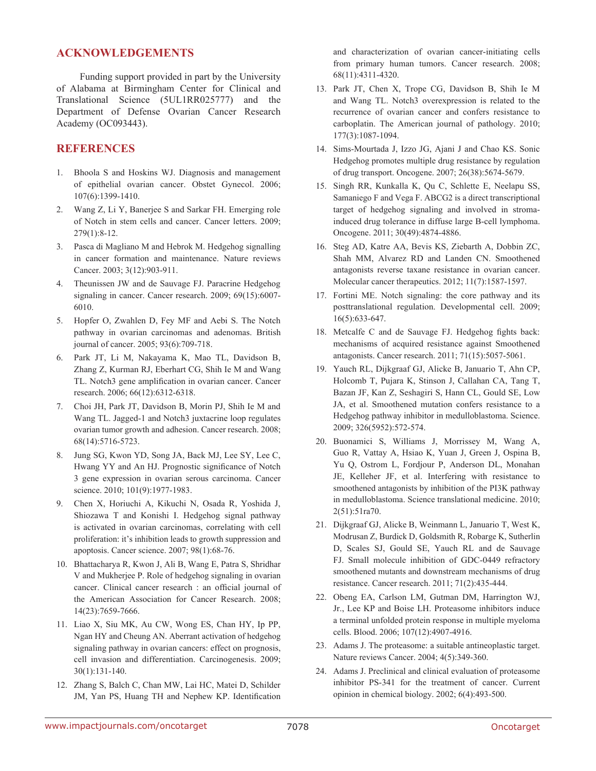### **ACKNOWLEDGEMENTS**

Funding support provided in part by the University of Alabama at Birmingham Center for Clinical and Translational Science (5UL1RR025777) and the Department of Defense Ovarian Cancer Research Academy (OC093443).

### **REFERENCES**

- 1. Bhoola S and Hoskins WJ. Diagnosis and management of epithelial ovarian cancer. Obstet Gynecol. 2006; 107(6):1399-1410.
- 2. Wang Z, Li Y, Banerjee S and Sarkar FH. Emerging role of Notch in stem cells and cancer. Cancer letters. 2009; 279(1):8-12.
- 3. Pasca di Magliano M and Hebrok M. Hedgehog signalling in cancer formation and maintenance. Nature reviews Cancer. 2003; 3(12):903-911.
- 4. Theunissen JW and de Sauvage FJ. Paracrine Hedgehog signaling in cancer. Cancer research. 2009; 69(15):6007- 6010.
- 5. Hopfer O, Zwahlen D, Fey MF and Aebi S. The Notch pathway in ovarian carcinomas and adenomas. British journal of cancer. 2005; 93(6):709-718.
- 6. Park JT, Li M, Nakayama K, Mao TL, Davidson B, Zhang Z, Kurman RJ, Eberhart CG, Shih Ie M and Wang TL. Notch3 gene amplification in ovarian cancer. Cancer research. 2006; 66(12):6312-6318.
- 7. Choi JH, Park JT, Davidson B, Morin PJ, Shih Ie M and Wang TL. Jagged-1 and Notch3 juxtacrine loop regulates ovarian tumor growth and adhesion. Cancer research. 2008; 68(14):5716-5723.
- 8. Jung SG, Kwon YD, Song JA, Back MJ, Lee SY, Lee C, Hwang YY and An HJ. Prognostic significance of Notch 3 gene expression in ovarian serous carcinoma. Cancer science. 2010; 101(9):1977-1983.
- 9. Chen X, Horiuchi A, Kikuchi N, Osada R, Yoshida J, Shiozawa T and Konishi I. Hedgehog signal pathway is activated in ovarian carcinomas, correlating with cell proliferation: it's inhibition leads to growth suppression and apoptosis. Cancer science. 2007; 98(1):68-76.
- 10. Bhattacharya R, Kwon J, Ali B, Wang E, Patra S, Shridhar V and Mukherjee P. Role of hedgehog signaling in ovarian cancer. Clinical cancer research : an official journal of the American Association for Cancer Research. 2008; 14(23):7659-7666.
- 11. Liao X, Siu MK, Au CW, Wong ES, Chan HY, Ip PP, Ngan HY and Cheung AN. Aberrant activation of hedgehog signaling pathway in ovarian cancers: effect on prognosis, cell invasion and differentiation. Carcinogenesis. 2009; 30(1):131-140.
- 12. Zhang S, Balch C, Chan MW, Lai HC, Matei D, Schilder JM, Yan PS, Huang TH and Nephew KP. Identification

and characterization of ovarian cancer-initiating cells from primary human tumors. Cancer research. 2008; 68(11):4311-4320.

- 13. Park JT, Chen X, Trope CG, Davidson B, Shih Ie M and Wang TL. Notch3 overexpression is related to the recurrence of ovarian cancer and confers resistance to carboplatin. The American journal of pathology. 2010; 177(3):1087-1094.
- 14. Sims-Mourtada J, Izzo JG, Ajani J and Chao KS. Sonic Hedgehog promotes multiple drug resistance by regulation of drug transport. Oncogene. 2007; 26(38):5674-5679.
- 15. Singh RR, Kunkalla K, Qu C, Schlette E, Neelapu SS, Samaniego F and Vega F. ABCG2 is a direct transcriptional target of hedgehog signaling and involved in stromainduced drug tolerance in diffuse large B-cell lymphoma. Oncogene. 2011; 30(49):4874-4886.
- 16. Steg AD, Katre AA, Bevis KS, Ziebarth A, Dobbin ZC, Shah MM, Alvarez RD and Landen CN. Smoothened antagonists reverse taxane resistance in ovarian cancer. Molecular cancer therapeutics. 2012; 11(7):1587-1597.
- 17. Fortini ME. Notch signaling: the core pathway and its posttranslational regulation. Developmental cell. 2009; 16(5):633-647.
- 18. Metcalfe C and de Sauvage FJ. Hedgehog fights back: mechanisms of acquired resistance against Smoothened antagonists. Cancer research. 2011; 71(15):5057-5061.
- 19. Yauch RL, Dijkgraaf GJ, Alicke B, Januario T, Ahn CP, Holcomb T, Pujara K, Stinson J, Callahan CA, Tang T, Bazan JF, Kan Z, Seshagiri S, Hann CL, Gould SE, Low JA, et al. Smoothened mutation confers resistance to a Hedgehog pathway inhibitor in medulloblastoma. Science. 2009; 326(5952):572-574.
- 20. Buonamici S, Williams J, Morrissey M, Wang A, Guo R, Vattay A, Hsiao K, Yuan J, Green J, Ospina B, Yu Q, Ostrom L, Fordjour P, Anderson DL, Monahan JE, Kelleher JF, et al. Interfering with resistance to smoothened antagonists by inhibition of the PI3K pathway in medulloblastoma. Science translational medicine. 2010; 2(51):51ra70.
- 21. Dijkgraaf GJ, Alicke B, Weinmann L, Januario T, West K, Modrusan Z, Burdick D, Goldsmith R, Robarge K, Sutherlin D, Scales SJ, Gould SE, Yauch RL and de Sauvage FJ. Small molecule inhibition of GDC-0449 refractory smoothened mutants and downstream mechanisms of drug resistance. Cancer research. 2011; 71(2):435-444.
- 22. Obeng EA, Carlson LM, Gutman DM, Harrington WJ, Jr., Lee KP and Boise LH. Proteasome inhibitors induce a terminal unfolded protein response in multiple myeloma cells. Blood. 2006; 107(12):4907-4916.
- 23. Adams J. The proteasome: a suitable antineoplastic target. Nature reviews Cancer. 2004; 4(5):349-360.
- 24. Adams J. Preclinical and clinical evaluation of proteasome inhibitor PS-341 for the treatment of cancer. Current opinion in chemical biology. 2002; 6(4):493-500.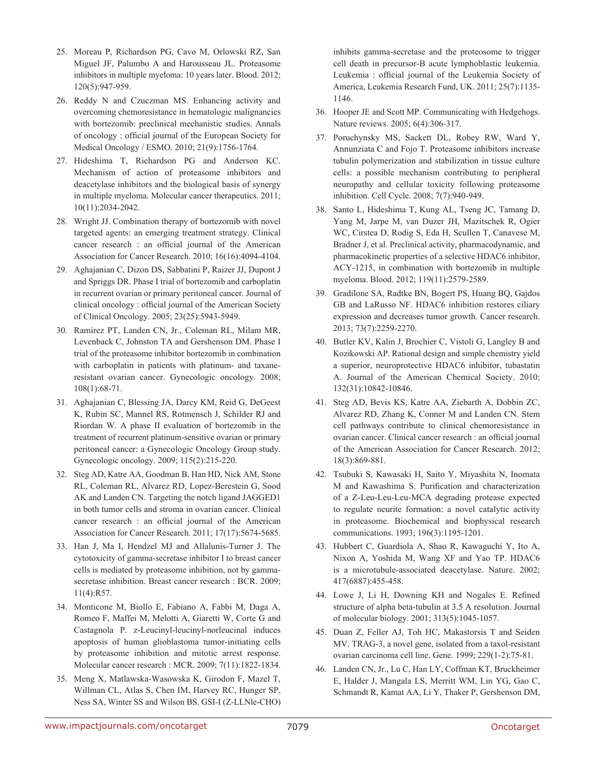- 25. Moreau P, Richardson PG, Cavo M, Orlowski RZ, San Miguel JF, Palumbo A and Harousseau JL. Proteasome inhibitors in multiple myeloma: 10 years later. Blood. 2012; 120(5):947-959.
- 26. Reddy N and Czuczman MS. Enhancing activity and overcoming chemoresistance in hematologic malignancies with bortezomib: preclinical mechanistic studies. Annals of oncology : official journal of the European Society for Medical Oncology / ESMO. 2010; 21(9):1756-1764.
- 27. Hideshima T, Richardson PG and Anderson KC. Mechanism of action of proteasome inhibitors and deacetylase inhibitors and the biological basis of synergy in multiple myeloma. Molecular cancer therapeutics. 2011; 10(11):2034-2042.
- 28. Wright JJ. Combination therapy of bortezomib with novel targeted agents: an emerging treatment strategy. Clinical cancer research : an official journal of the American Association for Cancer Research. 2010; 16(16):4094-4104.
- 29. Aghajanian C, Dizon DS, Sabbatini P, Raizer JJ, Dupont J and Spriggs DR. Phase I trial of bortezomib and carboplatin in recurrent ovarian or primary peritoneal cancer. Journal of clinical oncology : official journal of the American Society of Clinical Oncology. 2005; 23(25):5943-5949.
- 30. Ramirez PT, Landen CN, Jr., Coleman RL, Milam MR, Levenback C, Johnston TA and Gershenson DM. Phase I trial of the proteasome inhibitor bortezomib in combination with carboplatin in patients with platinum- and taxaneresistant ovarian cancer. Gynecologic oncology. 2008; 108(1):68-71.
- 31. Aghajanian C, Blessing JA, Darcy KM, Reid G, DeGeest K, Rubin SC, Mannel RS, Rotmensch J, Schilder RJ and Riordan W. A phase II evaluation of bortezomib in the treatment of recurrent platinum-sensitive ovarian or primary peritoneal cancer: a Gynecologic Oncology Group study. Gynecologic oncology. 2009; 115(2):215-220.
- 32. Steg AD, Katre AA, Goodman B, Han HD, Nick AM, Stone RL, Coleman RL, Alvarez RD, Lopez-Berestein G, Sood AK and Landen CN. Targeting the notch ligand JAGGED1 in both tumor cells and stroma in ovarian cancer. Clinical cancer research : an official journal of the American Association for Cancer Research. 2011; 17(17):5674-5685.
- 33. Han J, Ma I, Hendzel MJ and Allalunis-Turner J. The cytotoxicity of gamma-secretase inhibitor I to breast cancer cells is mediated by proteasome inhibition, not by gammasecretase inhibition. Breast cancer research : BCR. 2009; 11(4):R57.
- 34. Monticone M, Biollo E, Fabiano A, Fabbi M, Daga A, Romeo F, Maffei M, Melotti A, Giaretti W, Corte G and Castagnola P. z-Leucinyl-leucinyl-norleucinal induces apoptosis of human glioblastoma tumor-initiating cells by proteasome inhibition and mitotic arrest response. Molecular cancer research : MCR. 2009; 7(11):1822-1834.
- 35. Meng X, Matlawska-Wasowska K, Girodon F, Mazel T, Willman CL, Atlas S, Chen IM, Harvey RC, Hunger SP, Ness SA, Winter SS and Wilson BS. GSI-I (Z-LLNle-CHO)

inhibits gamma-secretase and the proteosome to trigger cell death in precursor-B acute lymphoblastic leukemia. Leukemia : official journal of the Leukemia Society of America, Leukemia Research Fund, UK. 2011; 25(7):1135- 1146.

- 36. Hooper JE and Scott MP. Communicating with Hedgehogs. Nature reviews. 2005; 6(4):306-317.
- 37. Poruchynsky MS, Sackett DL, Robey RW, Ward Y, Annunziata C and Fojo T. Proteasome inhibitors increase tubulin polymerization and stabilization in tissue culture cells: a possible mechanism contributing to peripheral neuropathy and cellular toxicity following proteasome inhibition. Cell Cycle. 2008; 7(7):940-949.
- 38. Santo L, Hideshima T, Kung AL, Tseng JC, Tamang D, Yang M, Jarpe M, van Duzer JH, Mazitschek R, Ogier WC, Cirstea D, Rodig S, Eda H, Scullen T, Canavese M, Bradner J, et al. Preclinical activity, pharmacodynamic, and pharmacokinetic properties of a selective HDAC6 inhibitor, ACY-1215, in combination with bortezomib in multiple myeloma. Blood. 2012; 119(11):2579-2589.
- 39. Gradilone SA, Radtke BN, Bogert PS, Huang BQ, Gajdos GB and LaRusso NF. HDAC6 inhibition restores ciliary expression and decreases tumor growth. Cancer research. 2013; 73(7):2259-2270.
- 40. Butler KV, Kalin J, Brochier C, Vistoli G, Langley B and Kozikowski AP. Rational design and simple chemistry yield a superior, neuroprotective HDAC6 inhibitor, tubastatin A. Journal of the American Chemical Society. 2010; 132(31):10842-10846.
- 41. Steg AD, Bevis KS, Katre AA, Ziebarth A, Dobbin ZC, Alvarez RD, Zhang K, Conner M and Landen CN. Stem cell pathways contribute to clinical chemoresistance in ovarian cancer. Clinical cancer research : an official journal of the American Association for Cancer Research. 2012; 18(3):869-881.
- 42. Tsubuki S, Kawasaki H, Saito Y, Miyashita N, Inomata M and Kawashima S. Purification and characterization of a Z-Leu-Leu-Leu-MCA degrading protease expected to regulate neurite formation: a novel catalytic activity in proteasome. Biochemical and biophysical research communications. 1993; 196(3):1195-1201.
- 43. Hubbert C, Guardiola A, Shao R, Kawaguchi Y, Ito A, Nixon A, Yoshida M, Wang XF and Yao TP. HDAC6 is a microtubule-associated deacetylase. Nature. 2002; 417(6887):455-458.
- 44. Lowe J, Li H, Downing KH and Nogales E. Refined structure of alpha beta-tubulin at 3.5 A resolution. Journal of molecular biology. 2001; 313(5):1045-1057.
- 45. Duan Z, Feller AJ, Toh HC, Makastorsis T and Seiden MV. TRAG-3, a novel gene, isolated from a taxol-resistant ovarian carcinoma cell line. Gene. 1999; 229(1-2):75-81.
- 46. Landen CN, Jr., Lu C, Han LY, Coffman KT, Bruckheimer E, Halder J, Mangala LS, Merritt WM, Lin YG, Gao C, Schmandt R, Kamat AA, Li Y, Thaker P, Gershenson DM,